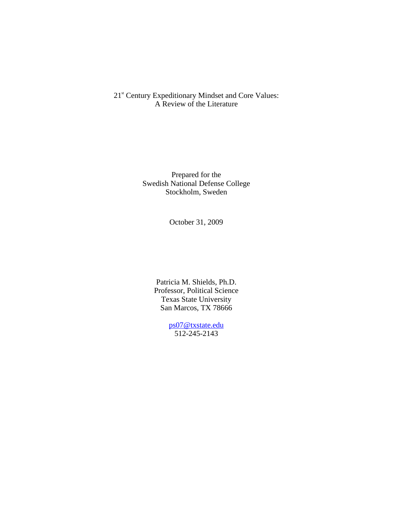21<sup>st</sup> Century Expeditionary Mindset and Core Values: A Review of the Literature

> Prepared for the Swedish National Defense College Stockholm, Sweden

> > October 31, 2009

Patricia M. Shields, Ph.D. Professor, Political Science Texas State University San Marcos, TX 78666

> ps07@txstate.edu 512-245-2143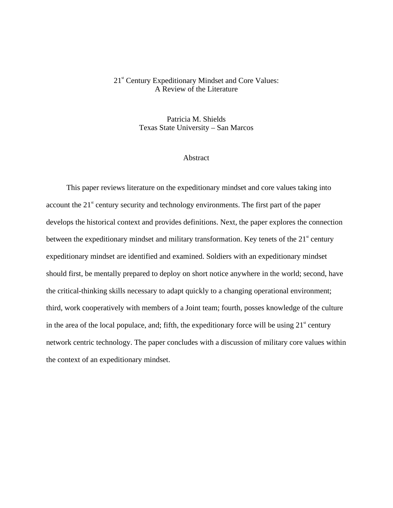#### 21<sup>st</sup> Century Expeditionary Mindset and Core Values: A Review of the Literature

Patricia M. Shields Texas State University – San Marcos

#### **Abstract**

This paper reviews literature on the expeditionary mindset and core values taking into account the  $21<sup>st</sup>$  century security and technology environments. The first part of the paper develops the historical context and provides definitions. Next, the paper explores the connection between the expeditionary mindset and military transformation. Key tenets of the  $21<sup>st</sup>$  century expeditionary mindset are identified and examined. Soldiers with an expeditionary mindset should first, be mentally prepared to deploy on short notice anywhere in the world; second, have the critical-thinking skills necessary to adapt quickly to a changing operational environment; third, work cooperatively with members of a Joint team; fourth, posses knowledge of the culture in the area of the local populace, and; fifth, the expeditionary force will be using  $21<sup>{st}</sup>$  century network centric technology. The paper concludes with a discussion of military core values within the context of an expeditionary mindset.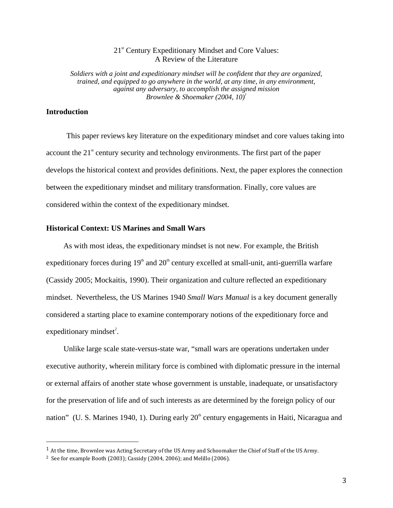## 21<sup>st</sup> Century Expeditionary Mindset and Core Values: A Review of the Literature

*Soldiers with a joint and expeditionary mindset will be confident that they are organized, trained, and equipped to go anywhere in the world, at any time, in any environment, against any adversary, to accomplish the assigned mission Brownlee & Shoemaker (2004, 10)<sup>1</sup>*

### **Introduction**

 $\overline{a}$ 

This paper reviews key literature on the expeditionary mindset and core values taking into account the  $21<sup>st</sup>$  century security and technology environments. The first part of the paper develops the historical context and provides definitions. Next, the paper explores the connection between the expeditionary mindset and military transformation. Finally, core values are considered within the context of the expeditionary mindset.

#### **Historical Context: US Marines and Small Wars**

As with most ideas, the expeditionary mindset is not new. For example, the British expeditionary forces during  $19<sup>th</sup>$  and  $20<sup>th</sup>$  century excelled at small-unit, anti-guerrilla warfare (Cassidy 2005; Mockaitis, 1990). Their organization and culture reflected an expeditionary mindset. Nevertheless, the US Marines 1940 *Small Wars Manual* is a key document generally considered a starting place to examine contemporary notions of the expeditionary force and  $expeditionary\ mindest^2$ .

Unlike large scale state-versus-state war, "small wars are operations undertaken under executive authority, wherein military force is combined with diplomatic pressure in the internal or external affairs of another state whose government is unstable, inadequate, or unsatisfactory for the preservation of life and of such interests as are determined by the foreign policy of our nation" (U. S. Marines 1940, 1). During early  $20<sup>th</sup>$  century engagements in Haiti, Nicaragua and

 $1$  At the time, Brownlee was Acting Secretary of the US Army and Schoomaker the Chief of Staff of the US Army.

<sup>2</sup> See for example Booth (2003); Cassidy (2004, 2006); and Melillo (2006).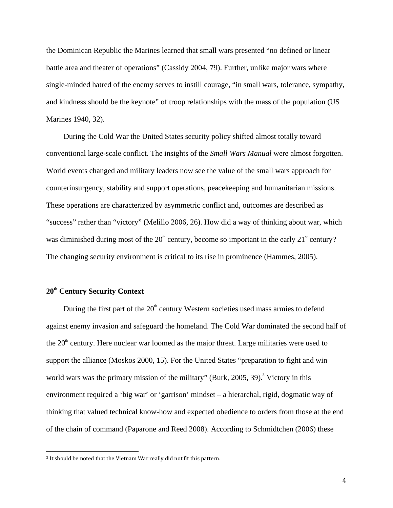the Dominican Republic the Marines learned that small wars presented "no defined or linear battle area and theater of operations" (Cassidy 2004, 79). Further, unlike major wars where single-minded hatred of the enemy serves to instill courage, "in small wars, tolerance, sympathy, and kindness should be the keynote" of troop relationships with the mass of the population (US Marines 1940, 32).

During the Cold War the United States security policy shifted almost totally toward conventional large-scale conflict. The insights of the *Small Wars Manual* were almost forgotten. World events changed and military leaders now see the value of the small wars approach for counterinsurgency, stability and support operations, peacekeeping and humanitarian missions. These operations are characterized by asymmetric conflict and, outcomes are described as "success" rather than "victory" (Melillo 2006, 26). How did a way of thinking about war, which was diminished during most of the  $20<sup>th</sup>$  century, become so important in the early  $21<sup>st</sup>$  century? The changing security environment is critical to its rise in prominence (Hammes, 2005).

# **20th Century Security Context**

<u>.</u>

During the first part of the  $20<sup>th</sup>$  century Western societies used mass armies to defend against enemy invasion and safeguard the homeland. The Cold War dominated the second half of the  $20<sup>th</sup>$  century. Here nuclear war loomed as the major threat. Large militaries were used to support the alliance (Moskos 2000, 15). For the United States "preparation to fight and win world wars was the primary mission of the military" (Burk,  $2005$ ,  $39$ ).<sup>3</sup> Victory in this environment required a 'big war' or 'garrison' mindset – a hierarchal, rigid, dogmatic way of thinking that valued technical know-how and expected obedience to orders from those at the end of the chain of command (Paparone and Reed 2008). According to Schmidtchen (2006) these

<sup>3</sup> It should be noted that the Vietnam War really did not fit this pattern.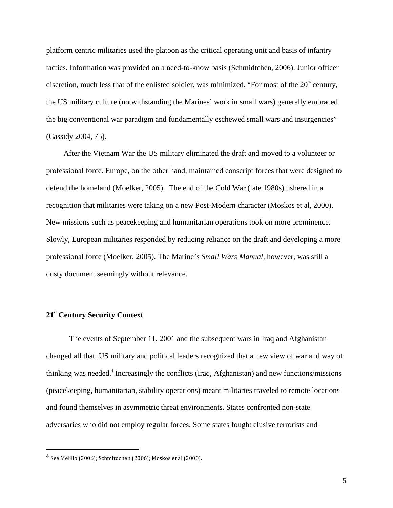platform centric militaries used the platoon as the critical operating unit and basis of infantry tactics. Information was provided on a need-to-know basis (Schmidtchen, 2006). Junior officer discretion, much less that of the enlisted soldier, was minimized. "For most of the  $20<sup>th</sup>$  century, the US military culture (notwithstanding the Marines' work in small wars) generally embraced the big conventional war paradigm and fundamentally eschewed small wars and insurgencies" (Cassidy 2004, 75).

After the Vietnam War the US military eliminated the draft and moved to a volunteer or professional force. Europe, on the other hand, maintained conscript forces that were designed to defend the homeland (Moelker, 2005). The end of the Cold War (late 1980s) ushered in a recognition that militaries were taking on a new Post-Modern character (Moskos et al, 2000). New missions such as peacekeeping and humanitarian operations took on more prominence. Slowly, European militaries responded by reducing reliance on the draft and developing a more professional force (Moelker, 2005). The Marine's *Small Wars Manual,* however*,* was still a dusty document seemingly without relevance.

# **21st Century Security Context**

 $\overline{a}$ 

The events of September 11, 2001 and the subsequent wars in Iraq and Afghanistan changed all that. US military and political leaders recognized that a new view of war and way of thinking was needed.<sup>4</sup> Increasingly the conflicts (Iraq, Afghanistan) and new functions/missions (peacekeeping, humanitarian, stability operations) meant militaries traveled to remote locations and found themselves in asymmetric threat environments. States confronted non-state adversaries who did not employ regular forces. Some states fought elusive terrorists and

<sup>4</sup> See Melillo (2006); Schmitdchen (2006); Moskos et al (2000).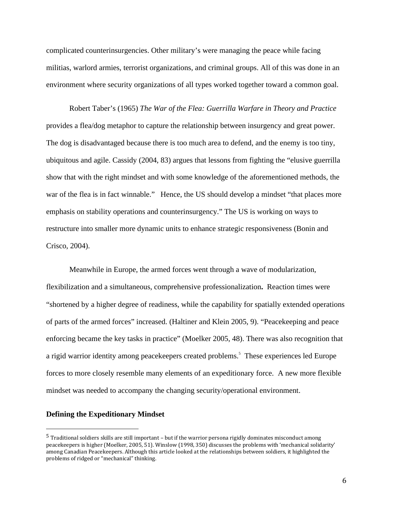complicated counterinsurgencies. Other military's were managing the peace while facing militias, warlord armies, terrorist organizations, and criminal groups. All of this was done in an environment where security organizations of all types worked together toward a common goal.

Robert Taber's (1965) *The War of the Flea: Guerrilla Warfare in Theory and Practice* provides a flea/dog metaphor to capture the relationship between insurgency and great power. The dog is disadvantaged because there is too much area to defend, and the enemy is too tiny, ubiquitous and agile. Cassidy (2004, 83) argues that lessons from fighting the "elusive guerrilla show that with the right mindset and with some knowledge of the aforementioned methods, the war of the flea is in fact winnable." Hence, the US should develop a mindset "that places more emphasis on stability operations and counterinsurgency." The US is working on ways to restructure into smaller more dynamic units to enhance strategic responsiveness (Bonin and Crisco, 2004).

Meanwhile in Europe, the armed forces went through a wave of modularization, flexibilization and a simultaneous, comprehensive professionalization**.** Reaction times were "shortened by a higher degree of readiness, while the capability for spatially extended operations of parts of the armed forces" increased. (Haltiner and Klein 2005, 9). "Peacekeeping and peace enforcing became the key tasks in practice" (Moelker 2005, 48). There was also recognition that a rigid warrior identity among peacekeepers created problems.<sup>5</sup> These experiences led Europe forces to more closely resemble many elements of an expeditionary force. A new more flexible mindset was needed to accompany the changing security/operational environment.

## **Defining the Expeditionary Mindset**

 $\overline{a}$ 

<sup>5</sup> Traditional soldiers skills are still important – but if the warrior persona rigidly dominates misconduct among peacekeepers is higher (Moelker, 2005, 51). Winslow (1998, 350) discusses the problems with 'mechanical solidarity' among Canadian Peacekeepers. Although this article looked at the relationships between soldiers, it highlighted the problems of ridged or "mechanical" thinking.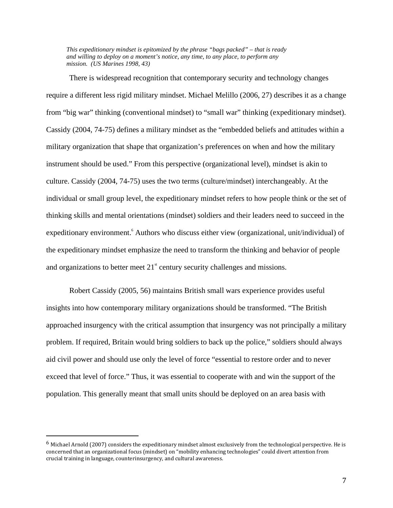*This expeditionary mindset is epitomized by the phrase "bags packed" – that is ready and willing to deploy on a moment's notice, any time, to any place, to perform any mission. (US Marines 1998, 43)*

There is widespread recognition that contemporary security and technology changes require a different less rigid military mindset. Michael Melillo (2006, 27) describes it as a change from "big war" thinking (conventional mindset) to "small war" thinking (expeditionary mindset). Cassidy (2004, 74-75) defines a military mindset as the "embedded beliefs and attitudes within a military organization that shape that organization's preferences on when and how the military instrument should be used." From this perspective (organizational level), mindset is akin to culture. Cassidy (2004, 74-75) uses the two terms (culture/mindset) interchangeably. At the individual or small group level, the expeditionary mindset refers to how people think or the set of thinking skills and mental orientations (mindset) soldiers and their leaders need to succeed in the expeditionary environment. Authors who discuss either view (organizational, unit/individual) of the expeditionary mindset emphasize the need to transform the thinking and behavior of people and organizations to better meet  $21<sup>st</sup>$  century security challenges and missions.

Robert Cassidy (2005, 56) maintains British small wars experience provides useful insights into how contemporary military organizations should be transformed. "The British approached insurgency with the critical assumption that insurgency was not principally a military problem. If required, Britain would bring soldiers to back up the police," soldiers should always aid civil power and should use only the level of force "essential to restore order and to never exceed that level of force." Thus, it was essential to cooperate with and win the support of the population. This generally meant that small units should be deployed on an area basis with

<u>.</u>

<sup>6</sup> Michael Arnold (2007) considers the expeditionary mindset almost exclusively from the technological perspective. He is concerned that an organizational focus (mindset) on "mobility enhancing technologies" could divert attention from crucial training in language, counterinsurgency, and cultural awareness.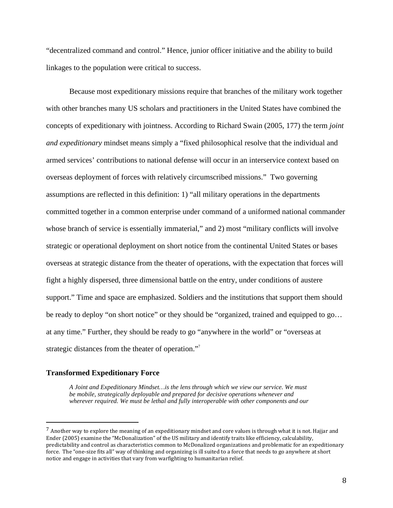"decentralized command and control." Hence, junior officer initiative and the ability to build linkages to the population were critical to success.

Because most expeditionary missions require that branches of the military work together with other branches many US scholars and practitioners in the United States have combined the concepts of expeditionary with jointness. According to Richard Swain (2005, 177) the term *joint and expeditionary* mindset means simply a "fixed philosophical resolve that the individual and armed services' contributions to national defense will occur in an interservice context based on overseas deployment of forces with relatively circumscribed missions." Two governing assumptions are reflected in this definition: 1) "all military operations in the departments committed together in a common enterprise under command of a uniformed national commander whose branch of service is essentially immaterial," and 2) most "military conflicts will involve strategic or operational deployment on short notice from the continental United States or bases overseas at strategic distance from the theater of operations, with the expectation that forces will fight a highly dispersed, three dimensional battle on the entry, under conditions of austere support." Time and space are emphasized. Soldiers and the institutions that support them should be ready to deploy "on short notice" or they should be "organized, trained and equipped to go... at any time." Further, they should be ready to go "anywhere in the world" or "overseas at strategic distances from the theater of operation."<sup>7</sup>

#### **Transformed Expeditionary Force**

 $\overline{a}$ 

*A Joint and Expeditionary Mindset…is the lens through which we view our service. We must be mobile, strategically deployable and prepared for decisive operations whenever and wherever required. We must be lethal and fully interoperable with other components and our* 

 $7$  Another way to explore the meaning of an expeditionary mindset and core values is through what it is not. Hajjar and Ender (2005) examine the "McDonalization" of the US military and identify traits like efficiency, calculability, predictability and control as characteristics common to McDonalized organizations and problematic for an expeditionary force. The "one-size fits all" way of thinking and organizing is ill suited to a force that needs to go anywhere at short notice and engage in activities that vary from warfighting to humanitarian relief.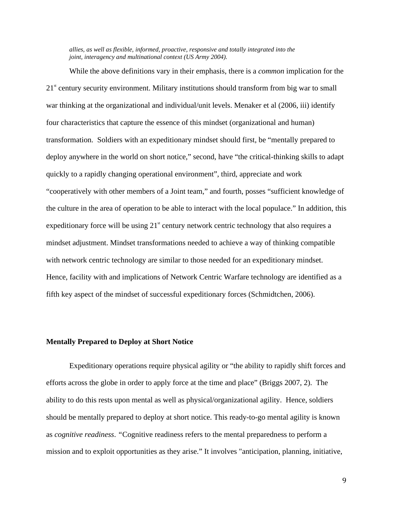*allies, as well as flexible, informed, proactive, responsive and totally integrated into the joint, interagency and multinational context (US Army 2004).* 

While the above definitions vary in their emphasis, there is a *common* implication for the  $21<sup>st</sup>$  century security environment. Military institutions should transform from big war to small war thinking at the organizational and individual/unit levels. Menaker et al (2006, iii) identify four characteristics that capture the essence of this mindset (organizational and human) transformation. Soldiers with an expeditionary mindset should first, be "mentally prepared to deploy anywhere in the world on short notice," second, have "the critical-thinking skills to adapt quickly to a rapidly changing operational environment", third, appreciate and work "cooperatively with other members of a Joint team," and fourth, posses "sufficient knowledge of the culture in the area of operation to be able to interact with the local populace." In addition, this expeditionary force will be using  $21^{\text{st}}$  century network centric technology that also requires a mindset adjustment. Mindset transformations needed to achieve a way of thinking compatible with network centric technology are similar to those needed for an expeditionary mindset. Hence, facility with and implications of Network Centric Warfare technology are identified as a fifth key aspect of the mindset of successful expeditionary forces (Schmidtchen, 2006).

### **Mentally Prepared to Deploy at Short Notice**

Expeditionary operations require physical agility or "the ability to rapidly shift forces and efforts across the globe in order to apply force at the time and place" (Briggs 2007, 2). The ability to do this rests upon mental as well as physical/organizational agility. Hence, soldiers should be mentally prepared to deploy at short notice. This ready-to-go mental agility is known as *cognitive readiness*. *"*Cognitive readiness refers to the mental preparedness to perform a mission and to exploit opportunities as they arise." It involves "anticipation, planning, initiative,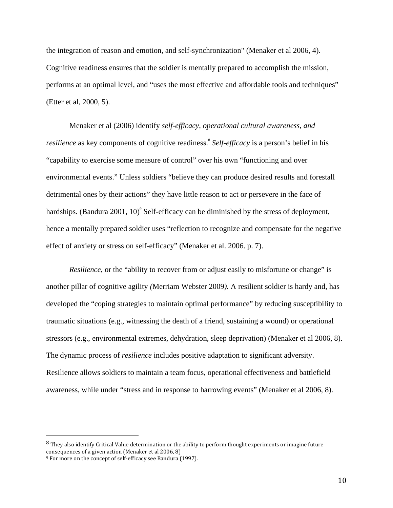the integration of reason and emotion, and self-synchronization" (Menaker et al 2006, 4). Cognitive readiness ensures that the soldier is mentally prepared to accomplish the mission, performs at an optimal level, and "uses the most effective and affordable tools and techniques" (Etter et al, 2000, 5).

Menaker et al (2006) identify *self-efficacy, operational cultural awareness, and resilience* as key components of cognitive readiness.<sup>8</sup> Self-efficacy is a person's belief in his "capability to exercise some measure of control" over his own "functioning and over environmental events." Unless soldiers "believe they can produce desired results and forestall detrimental ones by their actions" they have little reason to act or persevere in the face of hardships. (Bandura 2001, 10)<sup>9</sup> Self-efficacy can be diminished by the stress of deployment, hence a mentally prepared soldier uses "reflection to recognize and compensate for the negative effect of anxiety or stress on self-efficacy" (Menaker et al. 2006. p. 7).

*Resilience*, or the "ability to recover from or adjust easily to misfortune or change" is another pillar of cognitive agility *(*Merriam Webster 2009*).* A resilient soldier is hardy and, has developed the "coping strategies to maintain optimal performance" by reducing susceptibility to traumatic situations (e.g., witnessing the death of a friend, sustaining a wound) or operational stressors (e.g., environmental extremes, dehydration, sleep deprivation) (Menaker et al 2006, 8). The dynamic process of *resilience* includes positive adaptation to significant adversity. Resilience allows soldiers to maintain a team focus, operational effectiveness and battlefield awareness, while under "stress and in response to harrowing events" (Menaker et al 2006, 8).

<u>.</u>

<sup>&</sup>lt;sup>8</sup> They also identify Critical Value determination or the ability to perform thought experiments or imagine future consequences of a given action (Menaker et al 2006, 8)

<sup>9</sup> For more on the concept of self-efficacy see Bandura (1997).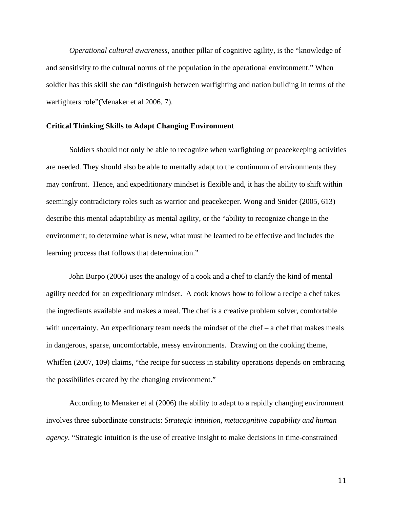*Operational cultural awareness,* another pillar of cognitive agility, is the "knowledge of and sensitivity to the cultural norms of the population in the operational environment." When soldier has this skill she can "distinguish between warfighting and nation building in terms of the warfighters role"(Menaker et al 2006, 7).

#### **Critical Thinking Skills to Adapt Changing Environment**

Soldiers should not only be able to recognize when warfighting or peacekeeping activities are needed. They should also be able to mentally adapt to the continuum of environments they may confront. Hence, and expeditionary mindset is flexible and, it has the ability to shift within seemingly contradictory roles such as warrior and peacekeeper. Wong and Snider (2005, 613) describe this mental adaptability as mental agility, or the "ability to recognize change in the environment; to determine what is new, what must be learned to be effective and includes the learning process that follows that determination."

John Burpo (2006) uses the analogy of a cook and a chef to clarify the kind of mental agility needed for an expeditionary mindset. A cook knows how to follow a recipe a chef takes the ingredients available and makes a meal. The chef is a creative problem solver, comfortable with uncertainty. An expeditionary team needs the mindset of the chef – a chef that makes meals in dangerous, sparse, uncomfortable, messy environments. Drawing on the cooking theme, Whiffen (2007, 109) claims, "the recipe for success in stability operations depends on embracing the possibilities created by the changing environment."

According to Menaker et al (2006) the ability to adapt to a rapidly changing environment involves three subordinate constructs: *Strategic intuition, metacognitive capability and human agency*. "Strategic intuition is the use of creative insight to make decisions in time-constrained

11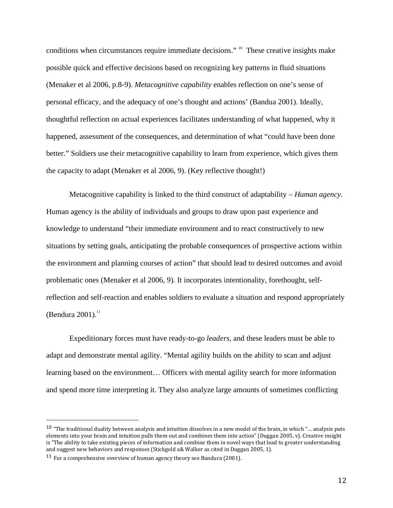conditions when circumstances require immediate decisions." <sup>10</sup> These creative insights make possible quick and effective decisions based on recognizing key patterns in fluid situations (Menaker et al 2006, p.8-9). *Metacognitive capability* enables reflection on one's sense of personal efficacy, and the adequacy of one's thought and actions' (Bandua 2001). Ideally, thoughtful reflection on actual experiences facilitates understanding of what happened, why it happened, assessment of the consequences, and determination of what "could have been done better." Soldiers use their metacognitive capability to learn from experience, which gives them the capacity to adapt (Menaker et al 2006, 9). (Key reflective thought!)

Metacognitive capability is linked to the third construct of adaptability – *Human agency*. Human agency is the ability of individuals and groups to draw upon past experience and knowledge to understand "their immediate environment and to react constructively to new situations by setting goals, anticipating the probable consequences of prospective actions within the environment and planning courses of action" that should lead to desired outcomes and avoid problematic ones (Menaker et al 2006, 9). It incorporates intentionality, forethought, selfreflection and self-reaction and enables soldiers to evaluate a situation and respond appropriately (Bendura 2001). $^{11}$ 

Expeditionary forces must have ready-to-go *leaders*, and these leaders must be able to adapt and demonstrate mental agility. "Mental agility builds on the ability to scan and adjust learning based on the environment… Officers with mental agility search for more information and spend more time interpreting it. They also analyze large amounts of sometimes conflicting

-

 $10$  "The traditional duality between analysis and intuition dissolves in a new model of the brain, in which "... analysis puts elements into your brain and intuition pulls them out and combines them into action" (Duggan 2005, v). Creative insight is "The ability to take existing pieces of information and combine them in novel ways that lead to greater understanding and suggest new behaviors and responses (Stickgold a& Walker as cited in Duggan 2005, 1).

<sup>&</sup>lt;sup>11</sup> For a comprehensive overview of human agency theory see Bandura (2001).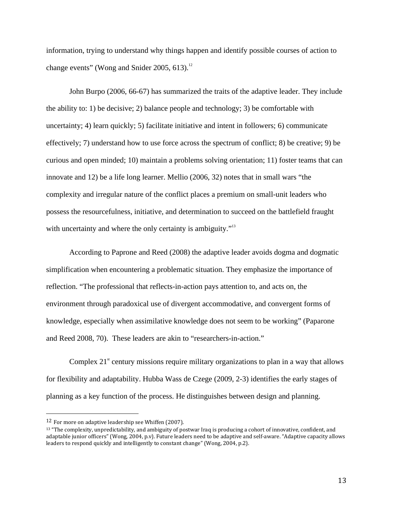information, trying to understand why things happen and identify possible courses of action to change events" (Wong and Snider 2005, 613). $^{12}$ 

John Burpo (2006, 66-67) has summarized the traits of the adaptive leader. They include the ability to: 1) be decisive; 2) balance people and technology; 3) be comfortable with uncertainty; 4) learn quickly; 5) facilitate initiative and intent in followers; 6) communicate effectively; 7) understand how to use force across the spectrum of conflict; 8) be creative; 9) be curious and open minded; 10) maintain a problems solving orientation; 11) foster teams that can innovate and 12) be a life long learner. Mellio (2006, 32) notes that in small wars "the complexity and irregular nature of the conflict places a premium on small-unit leaders who possess the resourcefulness, initiative, and determination to succeed on the battlefield fraught with uncertainty and where the only certainty is ambiguity."<sup>13</sup>

According to Paprone and Reed (2008) the adaptive leader avoids dogma and dogmatic simplification when encountering a problematic situation. They emphasize the importance of reflection. "The professional that reflects-in-action pays attention to, and acts on, the environment through paradoxical use of divergent accommodative, and convergent forms of knowledge, especially when assimilative knowledge does not seem to be working" (Paparone and Reed 2008, 70). These leaders are akin to "researchers-in-action."

Complex  $21^{\text{st}}$  century missions require military organizations to plan in a way that allows for flexibility and adaptability. Hubba Wass de Czege (2009, 2-3) identifies the early stages of planning as a key function of the process. He distinguishes between design and planning.

 $\overline{a}$ 

<sup>12</sup> For more on adaptive leadership see Whiffen (2007).

<sup>&</sup>lt;sup>13</sup> "The complexity, unpredictability, and ambiguity of postwar Iraq is producing a cohort of innovative, confident, and adaptable junior officers" (Wong, 2004, p.v). Future leaders need to be adaptive and self-aware. "Adaptive capacity allows leaders to respond quickly and intelligently to constant change" (Wong, 2004, p.2).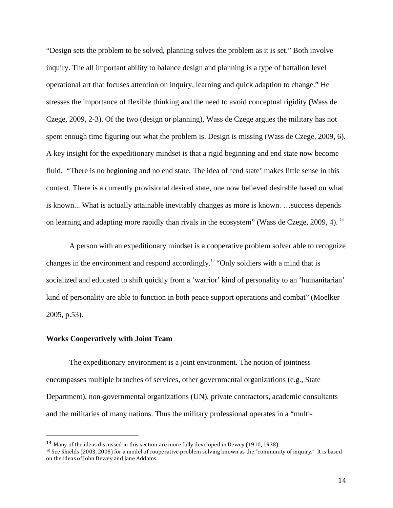"Design sets the problem to be solved, planning solves the problem as it is set." Both involve inquiry. The all important ability to balance design and planning is a type of battalion level operational art that focuses attention on inquiry, learning and quick adaption to change." He stresses the importance of flexible thinking and the need to avoid conceptual rigidity (Wass de Czege, 2009, 2-3). Of the two (design or planning), Wass de Czege argues the military has not spent enough time figuring out what the problem is. Design is missing (Wass de Czege, 2009, 6). A key insight for the expeditionary mindset is that a rigid beginning and end state now become fluid. "There is no beginning and no end state. The idea of 'end state' makes little sense in this context. There is a currently provisional desired state, one now believed desirable based on what is known... What is actually attainable inevitably changes as more is known. …success depends on learning and adapting more rapidly than rivals in the ecosystem" (Wass de Czege, 2009, 4).<sup>14</sup>

A person with an expeditionary mindset is a cooperative problem solver able to recognize changes in the environment and respond accordingly.<sup>15</sup> "Only soldiers with a mind that is socialized and educated to shift quickly from a 'warrior' kind of personality to an 'humanitarian' kind of personality are able to function in both peace support operations and combat" (Moelker 2005, p.53).

#### **Works Cooperatively with Joint Team**

<u>.</u>

The expeditionary environment is a joint environment. The notion of jointness encompasses multiple branches of services, other governmental organizations (e.g., State Department), non-governmental organizations (UN), private contractors, academic consultants and the militaries of many nations. Thus the military professional operates in a "multi-

 $14$  Many of the ideas discussed in this section are more fully developed in Dewey (1910, 1938).

<sup>15</sup> See Shields (2003, 2008) for a model of cooperative problem solving known as the "community of inquiry." It is based on the ideas of John Dewey and Jane Addams.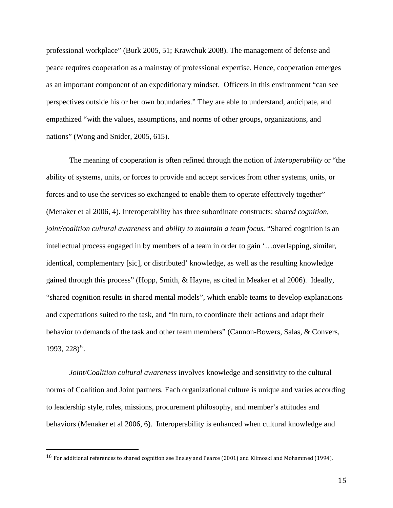professional workplace" (Burk 2005, 51; Krawchuk 2008). The management of defense and peace requires cooperation as a mainstay of professional expertise. Hence, cooperation emerges as an important component of an expeditionary mindset. Officers in this environment "can see perspectives outside his or her own boundaries." They are able to understand, anticipate, and empathized "with the values, assumptions, and norms of other groups, organizations, and nations" (Wong and Snider, 2005, 615).

The meaning of cooperation is often refined through the notion of *interoperability* or "the ability of systems, units, or forces to provide and accept services from other systems, units, or forces and to use the services so exchanged to enable them to operate effectively together" (Menaker et al 2006, 4). Interoperability has three subordinate constructs: *shared cognition, joint/coalition cultural awareness* and *ability to maintain a team focus.* "Shared cognition is an intellectual process engaged in by members of a team in order to gain '…overlapping, similar, identical, complementary [sic], or distributed' knowledge, as well as the resulting knowledge gained through this process" (Hopp, Smith, & Hayne, as cited in Meaker et al 2006). Ideally, "shared cognition results in shared mental models", which enable teams to develop explanations and expectations suited to the task, and "in turn, to coordinate their actions and adapt their behavior to demands of the task and other team members" (Cannon-Bowers, Salas, & Convers,  $1993, 228$ <sup>16</sup>.

*Joint/Coalition cultural awareness* involves knowledge and sensitivity to the cultural norms of Coalition and Joint partners. Each organizational culture is unique and varies according to leadership style, roles, missions, procurement philosophy, and member's attitudes and behaviors (Menaker et al 2006, 6). Interoperability is enhanced when cultural knowledge and

 $\overline{a}$ 

<sup>&</sup>lt;sup>16</sup> For additional references to shared cognition see Ensley and Pearce (2001) and Klimoski and Mohammed (1994).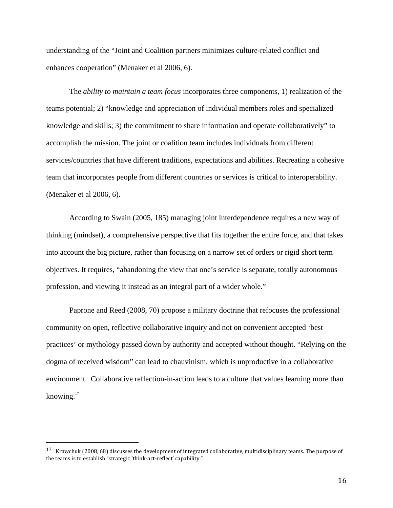understanding of the "Joint and Coalition partners minimizes culture-related conflict and enhances cooperation" (Menaker et al 2006, 6).

The *ability to maintain a team focus* incorporates three components, 1) realization of the teams potential; 2) "knowledge and appreciation of individual members roles and specialized knowledge and skills; 3) the commitment to share information and operate collaboratively" to accomplish the mission. The joint or coalition team includes individuals from different services/countries that have different traditions, expectations and abilities. Recreating a cohesive team that incorporates people from different countries or services is critical to interoperability. (Menaker et al 2006, 6).

According to Swain (2005, 185) managing joint interdependence requires a new way of thinking (mindset), a comprehensive perspective that fits together the entire force, and that takes into account the big picture, rather than focusing on a narrow set of orders or rigid short term objectives. It requires, "abandoning the view that one's service is separate, totally autonomous profession, and viewing it instead as an integral part of a wider whole."

Paprone and Reed (2008, 70) propose a military doctrine that refocuses the professional community on open, reflective collaborative inquiry and not on convenient accepted 'best practices' or mythology passed down by authority and accepted without thought. "Relying on the dogma of received wisdom" can lead to chauvinism, which is unproductive in a collaborative environment. Collaborative reflection-in-action leads to a culture that values learning more than knowing. $17$ 

<u>.</u>

<sup>&</sup>lt;sup>17</sup> Krawchuk (2008, 68) discusses the development of integrated collaborative, multidisciplinary teams. The purpose of the teams is to establish "strategic 'think-act-reflect' capability."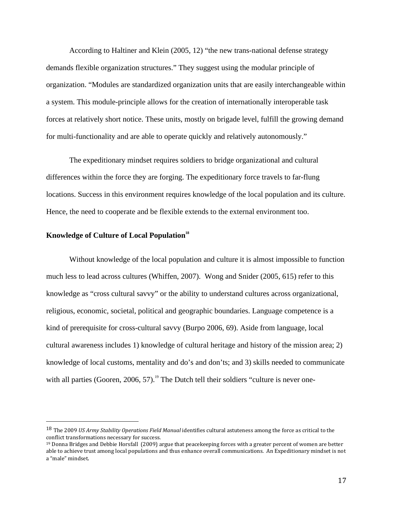According to Haltiner and Klein (2005, 12) "the new trans-national defense strategy demands flexible organization structures." They suggest using the modular principle of organization. "Modules are standardized organization units that are easily interchangeable within a system. This module-principle allows for the creation of internationally interoperable task forces at relatively short notice. These units, mostly on brigade level, fulfill the growing demand for multi-functionality and are able to operate quickly and relatively autonomously."

The expeditionary mindset requires soldiers to bridge organizational and cultural differences within the force they are forging. The expeditionary force travels to far-flung locations. Success in this environment requires knowledge of the local population and its culture. Hence, the need to cooperate and be flexible extends to the external environment too.

# **Knowledge of Culture of Local Population<sup>18</sup>**

 $\overline{a}$ 

Without knowledge of the local population and culture it is almost impossible to function much less to lead across cultures (Whiffen, 2007). Wong and Snider (2005, 615) refer to this knowledge as "cross cultural savvy" or the ability to understand cultures across organizational, religious, economic, societal, political and geographic boundaries. Language competence is a kind of prerequisite for cross-cultural savvy (Burpo 2006, 69). Aside from language, local cultural awareness includes 1) knowledge of cultural heritage and history of the mission area; 2) knowledge of local customs, mentality and do's and don'ts; and 3) skills needed to communicate with all parties (Gooren, 2006, 57).<sup>19</sup> The Dutch tell their soldiers "culture is never one-

<sup>&</sup>lt;sup>18</sup> The 2009 US Army Stability Operations Field Manual identifies cultural astuteness among the force as critical to the conflict transformations necessary for success.

 $19$  Donna Bridges and Debbie Horsfall (2009) argue that peacekeeping forces with a greater percent of women are better able to achieve trust among local populations and thus enhance overall communications. An Expeditionary mindset is not a "male" mindset.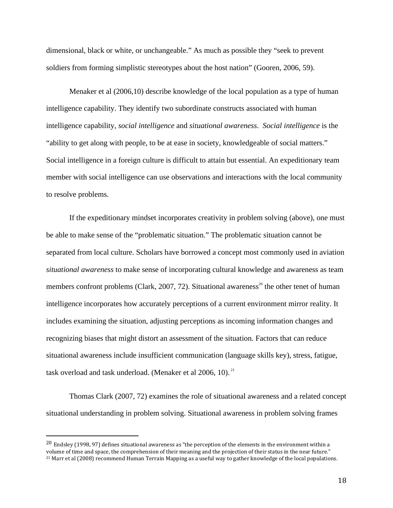dimensional, black or white, or unchangeable." As much as possible they "seek to prevent soldiers from forming simplistic stereotypes about the host nation" (Gooren, 2006, 59).

Menaker et al (2006,10) describe knowledge of the local population as a type of human intelligence capability. They identify two subordinate constructs associated with human intelligence capability, *social intelligence* and *situational awareness*. *Social intelligence* is the "ability to get along with people, to be at ease in society, knowledgeable of social matters." Social intelligence in a foreign culture is difficult to attain but essential. An expeditionary team member with social intelligence can use observations and interactions with the local community to resolve problems.

If the expeditionary mindset incorporates creativity in problem solving (above), one must be able to make sense of the "problematic situation." The problematic situation cannot be separated from local culture. Scholars have borrowed a concept most commonly used in aviation *situational awareness* to make sense of incorporating cultural knowledge and awareness as team members confront problems (Clark, 2007, 72). Situational awareness<sup>20</sup> the other tenet of human intelligence incorporates how accurately perceptions of a current environment mirror reality. It includes examining the situation, adjusting perceptions as incoming information changes and recognizing biases that might distort an assessment of the situation. Factors that can reduce situational awareness include insufficient communication (language skills key), stress, fatigue, task overload and task underload. (Menaker et al  $2006$ , 10).<sup>21</sup>

Thomas Clark (2007, 72) examines the role of situational awareness and a related concept situational understanding in problem solving. Situational awareness in problem solving frames

<u>.</u>

 $20$  Endsley (1998, 97) defines situational awareness as "the perception of the elements in the environment within a volume of time and space, the comprehension of their meaning and the projection of their status in the near future." 21 Marr et al (2008) recommend Human Terrain Mapping as a useful way to gather knowledge of the local populations.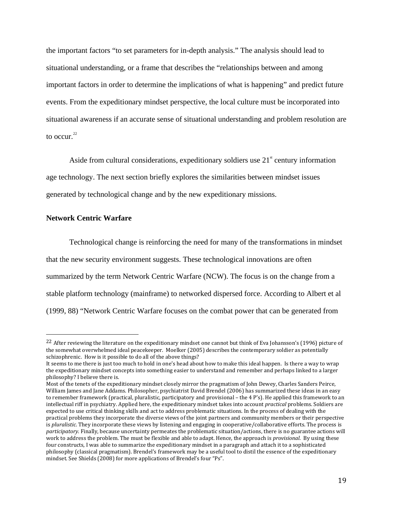the important factors "to set parameters for in-depth analysis." The analysis should lead to situational understanding, or a frame that describes the "relationships between and among important factors in order to determine the implications of what is happening" and predict future events. From the expeditionary mindset perspective, the local culture must be incorporated into situational awareness if an accurate sense of situational understanding and problem resolution are to occur. $^{22}$ 

Aside from cultural considerations, expeditionary soldiers use  $21<sup>st</sup>$  century information age technology. The next section briefly explores the similarities between mindset issues generated by technological change and by the new expeditionary missions.

#### **Network Centric Warfare**

 $\overline{a}$ 

Technological change is reinforcing the need for many of the transformations in mindset that the new security environment suggests. These technological innovations are often summarized by the term Network Centric Warfare (NCW). The focus is on the change from a stable platform technology (mainframe) to networked dispersed force. According to Albert et al (1999, 88) "Network Centric Warfare focuses on the combat power that can be generated from

<sup>22</sup> After reviewing the literature on the expeditionary mindset one cannot but think of Eva Johansson's (1996) picture of the somewhat overwhelmed ideal peacekeeper. Moelker (2005) describes the contemporary soldier as potentially schizophrenic. How is it possible to do all of the above things?

It seems to me there is just too much to hold in one's head about how to make this ideal happen. Is there a way to wrap the expeditionary mindset concepts into something easier to understand and remember and perhaps linked to a larger philosophy? I believe there is.

Most of the tenets of the expeditionary mindset closely mirror the pragmatism of John Dewey, Charles Sanders Peirce, William James and Jane Addams. Philosopher, psychiatrist David Brendel (2006) has summarized these ideas in an easy to remember framework (practical, pluralistic, participatory and provisional – the 4 P's). He applied this framework to an intellectual riff in psychiatry. Applied here, the expeditionary mindset takes into account practical problems. Soldiers are expected to use critical thinking skills and act to address problematic situations. In the process of dealing with the practical problems they incorporate the diverse views of the joint partners and community members or their perspective is pluralistic. They incorporate these views by listening and engaging in cooperative/collaborative efforts. The process is participatory. Finally, because uncertainty permeates the problematic situation/actions, there is no guarantee actions will work to address the problem. The must be flexible and able to adapt. Hence, the approach is *provisional*. By using these four constructs, I was able to summarize the expeditionary mindset in a paragraph and attach it to a sophisticated philosophy (classical pragmatism). Brendel's framework may be a useful tool to distil the essence of the expeditionary mindset. See Shields (2008) for more applications of Brendel's four "Ps".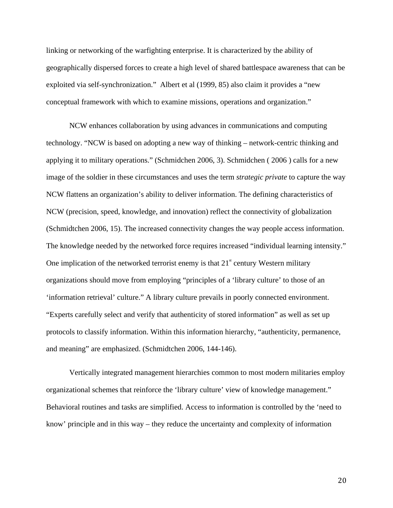linking or networking of the warfighting enterprise. It is characterized by the ability of geographically dispersed forces to create a high level of shared battlespace awareness that can be exploited via self-synchronization." Albert et al (1999, 85) also claim it provides a "new conceptual framework with which to examine missions, operations and organization."

NCW enhances collaboration by using advances in communications and computing technology. "NCW is based on adopting a new way of thinking – network-centric thinking and applying it to military operations." (Schmidchen 2006, 3). Schmidchen ( 2006 ) calls for a new image of the soldier in these circumstances and uses the term *strategic private* to capture the way NCW flattens an organization's ability to deliver information. The defining characteristics of NCW (precision, speed, knowledge, and innovation) reflect the connectivity of globalization (Schmidtchen 2006, 15). The increased connectivity changes the way people access information. The knowledge needed by the networked force requires increased "individual learning intensity." One implication of the networked terrorist enemy is that  $21<sup>st</sup>$  century Western military organizations should move from employing "principles of a 'library culture' to those of an 'information retrieval' culture." A library culture prevails in poorly connected environment. "Experts carefully select and verify that authenticity of stored information" as well as set up protocols to classify information. Within this information hierarchy, "authenticity, permanence, and meaning" are emphasized. (Schmidtchen 2006, 144-146).

Vertically integrated management hierarchies common to most modern militaries employ organizational schemes that reinforce the 'library culture' view of knowledge management." Behavioral routines and tasks are simplified. Access to information is controlled by the 'need to know' principle and in this way – they reduce the uncertainty and complexity of information

20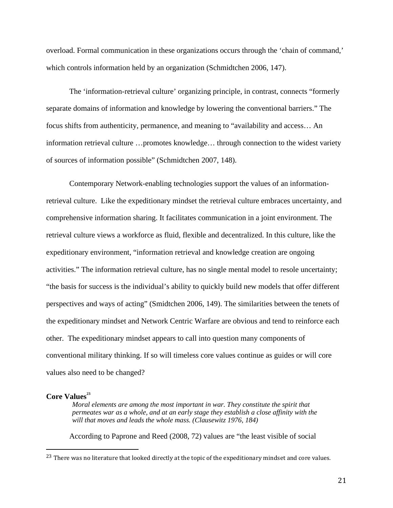overload. Formal communication in these organizations occurs through the 'chain of command,' which controls information held by an organization (Schmidtchen 2006, 147).

The 'information-retrieval culture' organizing principle, in contrast, connects "formerly separate domains of information and knowledge by lowering the conventional barriers." The focus shifts from authenticity, permanence, and meaning to "availability and access… An information retrieval culture …promotes knowledge… through connection to the widest variety of sources of information possible" (Schmidtchen 2007, 148).

Contemporary Network-enabling technologies support the values of an informationretrieval culture. Like the expeditionary mindset the retrieval culture embraces uncertainty, and comprehensive information sharing. It facilitates communication in a joint environment. The retrieval culture views a workforce as fluid, flexible and decentralized. In this culture, like the expeditionary environment, "information retrieval and knowledge creation are ongoing activities." The information retrieval culture, has no single mental model to resole uncertainty; "the basis for success is the individual's ability to quickly build new models that offer different perspectives and ways of acting" (Smidtchen 2006, 149). The similarities between the tenets of the expeditionary mindset and Network Centric Warfare are obvious and tend to reinforce each other. The expeditionary mindset appears to call into question many components of conventional military thinking. If so will timeless core values continue as guides or will core values also need to be changed?

# **Core Values<sup>23</sup>**

 $\overline{a}$ 

*Moral elements are among the most important in war. They constitute the spirit that permeates war as a whole, and at an early stage they establish a close affinity with the*  will that moves and leads the whole mass. (Clausewitz 1976, 184)

According to Paprone and Reed (2008, 72) values are "the least visible of social

<sup>&</sup>lt;sup>23</sup> There was no literature that looked directly at the topic of the expeditionary mindset and core values.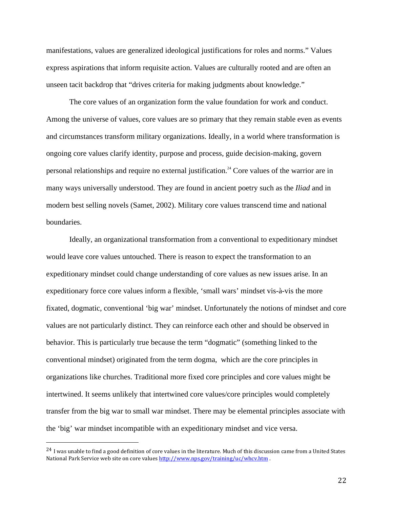manifestations, values are generalized ideological justifications for roles and norms." Values express aspirations that inform requisite action. Values are culturally rooted and are often an unseen tacit backdrop that "drives criteria for making judgments about knowledge."

The core values of an organization form the value foundation for work and conduct. Among the universe of values, core values are so primary that they remain stable even as events and circumstances transform military organizations. Ideally, in a world where transformation is ongoing core values clarify identity, purpose and process, guide decision-making, govern personal relationships and require no external justification.<sup>24</sup> Core values of the warrior are in many ways universally understood. They are found in ancient poetry such as the *Iliad* and in modern best selling novels (Samet, 2002). Military core values transcend time and national boundaries.

Ideally, an organizational transformation from a conventional to expeditionary mindset would leave core values untouched. There is reason to expect the transformation to an expeditionary mindset could change understanding of core values as new issues arise. In an expeditionary force core values inform a flexible, 'small wars' mindset vis-à-vis the more fixated, dogmatic, conventional 'big war' mindset. Unfortunately the notions of mindset and core values are not particularly distinct. They can reinforce each other and should be observed in behavior. This is particularly true because the term "dogmatic" (something linked to the conventional mindset) originated from the term dogma, which are the core principles in organizations like churches. Traditional more fixed core principles and core values might be intertwined. It seems unlikely that intertwined core values/core principles would completely transfer from the big war to small war mindset. There may be elemental principles associate with the 'big' war mindset incompatible with an expeditionary mindset and vice versa.

<u>.</u>

<sup>&</sup>lt;sup>24</sup> I was unable to find a good definition of core values in the literature. Much of this discussion came from a United States National Park Service web site on core values http://www.nps.gov/training/uc/whcv.htm .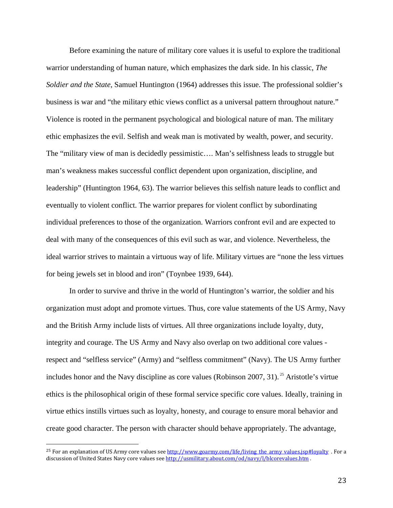Before examining the nature of military core values it is useful to explore the traditional warrior understanding of human nature, which emphasizes the dark side. In his classic, *The Soldier and the State*, Samuel Huntington (1964) addresses this issue. The professional soldier's business is war and "the military ethic views conflict as a universal pattern throughout nature." Violence is rooted in the permanent psychological and biological nature of man. The military ethic emphasizes the evil. Selfish and weak man is motivated by wealth, power, and security. The "military view of man is decidedly pessimistic…. Man's selfishness leads to struggle but man's weakness makes successful conflict dependent upon organization, discipline, and leadership" (Huntington 1964, 63). The warrior believes this selfish nature leads to conflict and eventually to violent conflict. The warrior prepares for violent conflict by subordinating individual preferences to those of the organization. Warriors confront evil and are expected to deal with many of the consequences of this evil such as war, and violence. Nevertheless, the ideal warrior strives to maintain a virtuous way of life. Military virtues are "none the less virtues for being jewels set in blood and iron" (Toynbee 1939, 644).

In order to survive and thrive in the world of Huntington's warrior, the soldier and his organization must adopt and promote virtues. Thus, core value statements of the US Army, Navy and the British Army include lists of virtues. All three organizations include loyalty, duty, integrity and courage. The US Army and Navy also overlap on two additional core values respect and "selfless service" (Army) and "selfless commitment" (Navy). The US Army further includes honor and the Navy discipline as core values (Robinson 2007, 31).<sup>25</sup> Aristotle's virtue ethics is the philosophical origin of these formal service specific core values. Ideally, training in virtue ethics instills virtues such as loyalty, honesty, and courage to ensure moral behavior and create good character. The person with character should behave appropriately. The advantage,

 $\overline{a}$ 

<sup>&</sup>lt;sup>25</sup> For an explanation of US Army core values see http://www.goarmy.com/life/living\_the\_army\_values.jsp#loyalty . For a discussion of United States Navy core values see http://usmilitary.about.com/od/navy/l/blcorevalues.htm .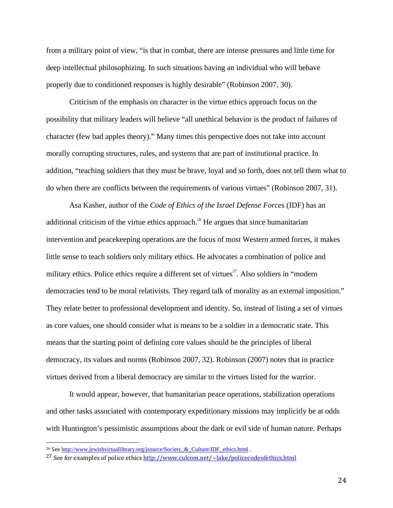from a military point of view, "is that in combat, there are intense pressures and little time for deep intellectual philosophizing. In such situations having an individual who will behave properly due to conditioned responses is highly desirable" (Robinson 2007, 30).

Criticism of the emphasis on character in the virtue ethics approach focus on the possibility that military leaders will believe "all unethical behavior is the product of failures of character (few bad apples theory)." Many times this perspective does not take into account morally corrupting structures, rules, and systems that are part of institutional practice. In addition, "teaching soldiers that they must be brave, loyal and so forth, does not tell them what to do when there are conflicts between the requirements of various virtues" (Robinson 2007, 31).

Asa Kasher, author of the *Code of Ethics of the Israel Defense Forces* (IDF) has an additional criticism of the virtue ethics approach.<sup>26</sup> He argues that since humanitarian intervention and peacekeeping operations are the focus of most Western armed forces, it makes little sense to teach soldiers only military ethics. He advocates a combination of police and military ethics. Police ethics require a different set of virtues<sup>27</sup>. Also soldiers in "modern" democracies tend to be moral relativists. They regard talk of morality as an external imposition." They relate better to professional development and identity. So, instead of listing a set of virtues as core values, one should consider what is means to be a soldier in a democratic state. This means that the starting point of defining core values should be the principles of liberal democracy, its values and norms (Robinson 2007, 32). Robinson (2007) notes that in practice virtues derived from a liberal democracy are similar to the virtues listed for the warrior.

It would appear, however, that humanitarian peace operations, stabilization operations and other tasks associated with contemporary expeditionary missions may implicitly be at odds with Huntington's pessimistic assumptions about the dark or evil side of human nature. Perhaps

 $\overline{a}$ 

24

<sup>&</sup>lt;sup>26</sup> See http://www.jewishvirtuallibrary.org/jsource/Society\_&\_Culture/IDF\_ethics.html .

<sup>&</sup>lt;sup>27</sup> See for examples of police ethics http://www.culcom.net/ $\sim$ lake/policecodeofethics.html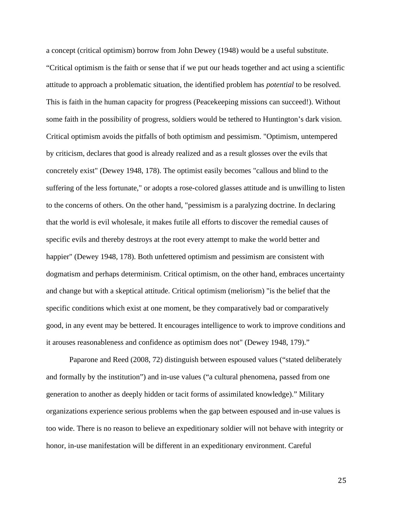a concept (critical optimism) borrow from John Dewey (1948) would be a useful substitute. "Critical optimism is the faith or sense that if we put our heads together and act using a scientific attitude to approach a problematic situation, the identified problem has *potential* to be resolved. This is faith in the human capacity for progress (Peacekeeping missions can succeed!). Without some faith in the possibility of progress, soldiers would be tethered to Huntington's dark vision. Critical optimism avoids the pitfalls of both optimism and pessimism. "Optimism, untempered by criticism, declares that good is already realized and as a result glosses over the evils that concretely exist" (Dewey 1948, 178). The optimist easily becomes "callous and blind to the suffering of the less fortunate," or adopts a rose-colored glasses attitude and is unwilling to listen to the concerns of others. On the other hand, "pessimism is a paralyzing doctrine. In declaring that the world is evil wholesale, it makes futile all efforts to discover the remedial causes of specific evils and thereby destroys at the root every attempt to make the world better and happier" (Dewey 1948, 178). Both unfettered optimism and pessimism are consistent with dogmatism and perhaps determinism. Critical optimism, on the other hand, embraces uncertainty and change but with a skeptical attitude. Critical optimism (meliorism) "is the belief that the specific conditions which exist at one moment, be they comparatively bad or comparatively good, in any event may be bettered. It encourages intelligence to work to improve conditions and it arouses reasonableness and confidence as optimism does not" (Dewey 1948, 179)."

Paparone and Reed (2008, 72) distinguish between espoused values ("stated deliberately and formally by the institution") and in-use values ("a cultural phenomena, passed from one generation to another as deeply hidden or tacit forms of assimilated knowledge)." Military organizations experience serious problems when the gap between espoused and in-use values is too wide. There is no reason to believe an expeditionary soldier will not behave with integrity or honor, in-use manifestation will be different in an expeditionary environment. Careful

25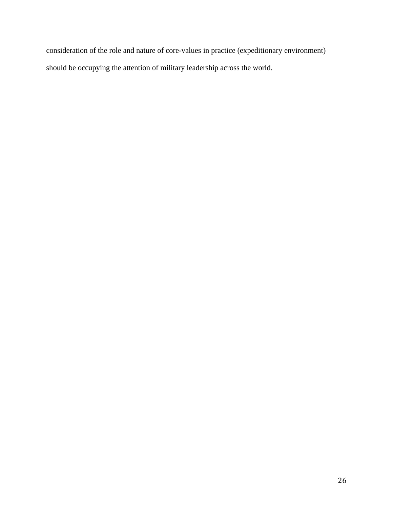consideration of the role and nature of core-values in practice (expeditionary environment) should be occupying the attention of military leadership across the world.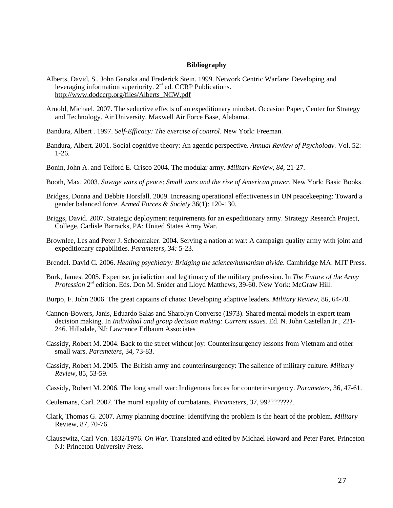#### **Bibliography**

- Alberts, David, S., John Garstka and Frederick Stein. 1999. Network Centric Warfare: Developing and leveraging information superiority.  $2<sup>nd</sup>$  ed. CCRP Publications. http://www.dodccrp.org/files/Alberts\_NCW.pdf
- Arnold, Michael. 2007. The seductive effects of an expeditionary mindset. Occasion Paper, Center for Strategy and Technology. Air University, Maxwell Air Force Base, Alabama.
- Bandura, Albert . 1997. *Self-Efficacy: The exercise of control*. New York: Freeman.
- Bandura, Albert. 2001. Social cognitive theory: An agentic perspective. *Annual Review of Psychology.* Vol. 52: 1-26.
- Bonin, John A. and Telford E. Crisco 2004. The modular army. *Military Review, 84*, 21-27.
- Booth, Max. 2003. *Savage wars of peace*: *Small wars and the rise of American power*. New York: Basic Books.
- Bridges, Donna and Debbie Horsfall. 2009. Increasing operational effectiveness in UN peacekeeping: Toward a gender balanced force. *Armed Forces & Society* 36(1): 120-130.
- Briggs, David. 2007. Strategic deployment requirements for an expeditionary army. Strategy Research Project, College, Carlisle Barracks, PA: United States Army War.
- Brownlee, Les and Peter J. Schoomaker. 2004. Serving a nation at war: A campaign quality army with joint and expeditionary capabilities. *Parameters, 34:* 5-23.
- Brendel. David C. 2006. *Healing psychiatry: Bridging the science/humanism divide*. Cambridge MA: MIT Press.
- Burk, James. 2005. Expertise, jurisdiction and legitimacy of the military profession. In *The Future of the Army Profession* 2<sup>nd</sup> edition. Eds. Don M. Snider and Lloyd Matthews, 39-60. New York: McGraw Hill.
- Burpo, F. John 2006. The great captains of chaos: Developing adaptive leaders. *Military Review,* 86, 64-70.
- Cannon-Bowers, Janis, Eduardo Salas and Sharolyn Converse (1973). Shared mental models in expert team decision making. In *Individual and group decision making: Current issues*. Ed. N. John Castellan Jr., 221- 246. Hillsdale, NJ: Lawrence Erlbaum Associates
- Cassidy, Robert M. 2004. Back to the street without joy: Counterinsurgency lessons from Vietnam and other small wars. *Parameters*, 34, 73-83.
- Cassidy, Robert M. 2005. The British army and counterinsurgency: The salience of military culture. *Military Review,* 85, 53-59.
- Cassidy, Robert M. 2006. The long small war: Indigenous forces for counterinsurgency. *Parameters,* 36, 47-61.
- Ceulemans, Carl. 2007. The moral equality of combatants. *Parameters,* 37, 99????????.
- Clark, Thomas G. 2007. Army planning doctrine: Identifying the problem is the heart of the problem*. Military* Review, 87, 70-76.
- Clausewitz, Carl Von. 1832/1976. *On War.* Translated and edited by Michael Howard and Peter Paret. Princeton NJ: Princeton University Press.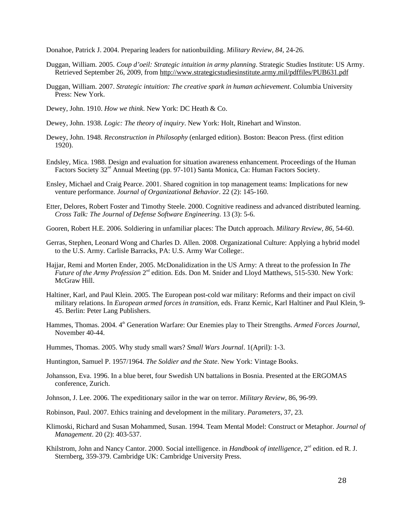Donahoe, Patrick J. 2004. Preparing leaders for nationbuilding. *Military Review, 84*, 24-26.

- Duggan, William. 2005. *Coup d'oeil: Strategic intuition in army planning*. Strategic Studies Institute: US Army. Retrieved September 26, 2009, from http://www.strategicstudiesinstitute.army.mil/pdffiles/PUB631.pdf
- Duggan, William. 2007. *Strategic intuition: The creative spark in human achievement*. Columbia University Press: New York.
- Dewey, John. 1910. *How we think*. New York: DC Heath & Co.
- Dewey, John. 1938. *Logic: The theory of inquiry*. New York: Holt, Rinehart and Winston.
- Dewey, John. 1948. *Reconstruction in Philosophy* (enlarged edition). Boston: Beacon Press. (first edition 1920).
- Endsley, Mica. 1988. Design and evaluation for situation awareness enhancement. Proceedings of the Human Factors Society 32<sup>nd</sup> Annual Meeting (pp. 97-101) Santa Monica, Ca: Human Factors Society.
- Ensley, Michael and Craig Pearce. 2001. Shared cognition in top management teams: Implications for new venture performance. *Journal of Organizational Behavior*. 22 (2): 145-160.
- Etter, Delores, Robert Foster and Timothy Steele. 2000. Cognitive readiness and advanced distributed learning. *Cross Talk: The Journal of Defense Software Engineering*. 13 (3): 5-6.
- Gooren, Robert H.E. 2006. Soldiering in unfamiliar places: The Dutch approach. *Military Review, 86*, 54-60.
- Gerras, Stephen, Leonard Wong and Charles D. Allen. 2008. Organizational Culture: Applying a hybrid model to the U.S. Army. Carlisle Barracks, PA: U.S. Army War College:.
- Hajjar, Remi and Morten Ender, 2005. McDonalidization in the US Army: A threat to the profession In *The Future of the Army Profession* 2<sup>nd</sup> edition. Eds. Don M. Snider and Lloyd Matthews, 515-530. New York: McGraw Hill.
- Haltiner, Karl, and Paul Klein. 2005. The European post-cold war military: Reforms and their impact on civil military relations. In *European armed forces in transition*, eds. Franz Kernic, Karl Haltiner and Paul Klein, 9- 45. Berlin: Peter Lang Publishers.
- Hammes, Thomas. 2004. 4<sup>th</sup> Generation Warfare: Our Enemies play to Their Strengths. *Armed Forces Journal*, November 40-44.
- Hummes, Thomas. 2005. Why study small wars? *Small Wars Journal*. 1(April): 1-3.
- Huntington, Samuel P. 1957/1964. *The Soldier and the State*. New York: Vintage Books.
- Johansson, Eva. 1996. In a blue beret, four Swedish UN battalions in Bosnia. Presented at the ERGOMAS conference, Zurich.
- Johnson, J. Lee. 2006. The expeditionary sailor in the war on terror. *Military Review,* 86, 96-99.
- Robinson, Paul. 2007. Ethics training and development in the military. *Parameters,* 37, 23.
- Klimoski, Richard and Susan Mohammed, Susan. 1994. Team Mental Model: Construct or Metaphor. *Journal of Management*. 20 (2): 403-537.
- Khilstrom, John and Nancy Cantor. 2000. Social intelligence. in *Handbook of intelligence*, 2<sup>nd</sup> edition. ed R. J. Sternberg, 359-379. Cambridge UK: Cambridge University Press.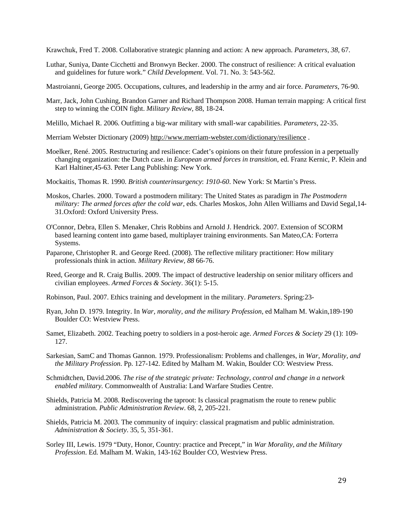Krawchuk, Fred T. 2008. Collaborative strategic planning and action: A new approach. *Parameters, 38*, 67.

Luthar, Suniya, Dante Cicchetti and Bronwyn Becker. 2000. The construct of resilience: A critical evaluation and guidelines for future work." *Child Development*. Vol. 71. No. 3: 543-562.

Mastroianni, George 2005. Occupations, cultures, and leadership in the army and air force. *Parameters*, 76-90.

- Marr, Jack, John Cushing, Brandon Garner and Richard Thompson 2008. Human terrain mapping: A critical first step to winning the COIN fight. *Military Review,* 88, 18-24.
- Melillo, Michael R. 2006. Outfitting a big-war military with small-war capabilities. *Parameters*, 22-35.
- Merriam Webster Dictionary (2009) http://www.merriam-webster.com/dictionary/resilience .
- Moelker, René. 2005. Restructuring and resilience: Cadet's opinions on their future profession in a perpetually changing organization: the Dutch case. in *European armed forces in transition*, ed. Franz Kernic, P. Klein and Karl Haltiner,45-63. Peter Lang Publishing: New York.
- Mockaitis, Thomas R. 1990. *British counterinsurgency*: *1910-60*. New York: St Martin's Press.
- Moskos, Charles. 2000. Toward a postmodern military: The United States as paradigm in *The Postmodern military: The armed forces after the cold war*, eds. Charles Moskos, John Allen Williams and David Segal,14- 31.Oxford: Oxford University Press.
- O'Connor, Debra, Ellen S. Menaker, Chris Robbins and Arnold J. Hendrick. 2007. Extension of SCORM based learning content into game based, multiplayer training environments. San Mateo,CA: Forterra Systems.
- Paparone, Christopher R. and George Reed. (2008). The reflective military practitioner: How military professionals think in action. *Military Review, 88* 66-76.
- Reed, George and R. Craig Bullis. 2009. The impact of destructive leadership on senior military officers and civilian employees. *Armed Forces & Society*. 36(1): 5-15.
- Robinson, Paul. 2007. Ethics training and development in the military. *Parameters*. Spring:23-
- Ryan, John D. 1979. Integrity. In *War, morality, and the military Profession*, ed Malham M. Wakin,189-190 Boulder CO: Westview Press.
- Samet, Elizabeth. 2002. Teaching poetry to soldiers in a post-heroic age. *Armed Forces & Society* 29 (1): 109- 127.
- Sarkesian, SamC and Thomas Gannon. 1979. Professionalism: Problems and challenges, in *War, Morality, and the Military Profession*. Pp. 127-142. Edited by Malham M. Wakin, Boulder CO: Westview Press.
- Schmidtchen, David.2006. *The rise of the strategic private: Technology, control and change in a network enabled military.* Commonwealth of Australia: Land Warfare Studies Centre.
- Shields, Patricia M. 2008. Rediscovering the taproot: Is classical pragmatism the route to renew public administration. *Public Administration Review*. 68, 2, 205-221.
- Shields, Patricia M. 2003. The community of inquiry: classical pragmatism and public administration. *Administration & Society*. 35, 5, 351-361.
- Sorley III, Lewis. 1979 "Duty, Honor, Country: practice and Precept," in *War Morality, and the Military Profession*. Ed. Malham M. Wakin, 143-162 Boulder CO, Westview Press.